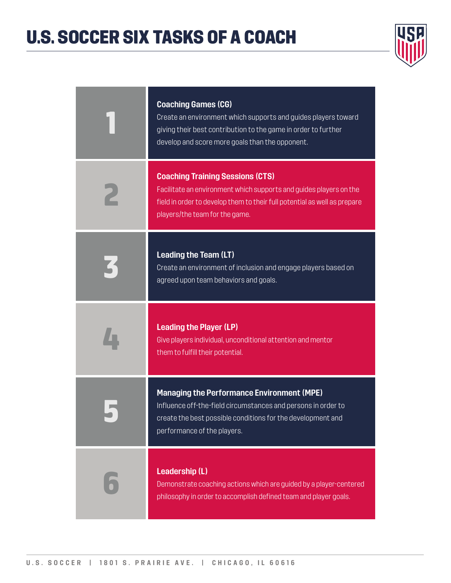### U.S. SOCCER SIX TASKS OF A COACH



| <b>Coaching Games (CG)</b><br>Create an environment which supports and guides players toward<br>giving their best contribution to the game in order to further<br>develop and score more goals than the opponent.            |
|------------------------------------------------------------------------------------------------------------------------------------------------------------------------------------------------------------------------------|
| <b>Coaching Training Sessions (CTS)</b><br>Facilitate an environment which supports and guides players on the<br>field in order to develop them to their full potential as well as prepare<br>players/the team for the game. |
| <b>Leading the Team (LT)</b><br>Create an environment of inclusion and engage players based on<br>agreed upon team behaviors and goals.                                                                                      |
| <b>Leading the Player (LP)</b><br>Give players individual, unconditional attention and mentor<br>them to fulfill their potential.                                                                                            |
| <b>Managing the Performance Environment (MPE)</b><br>Influence off-the-field circumstances and persons in order to<br>create the best possible conditions for the development and<br>performance of the players.             |
| <b>Leadership (L)</b><br>Demonstrate coaching actions which are guided by a player-centered<br>philosophy in order to accomplish defined team and player goals.                                                              |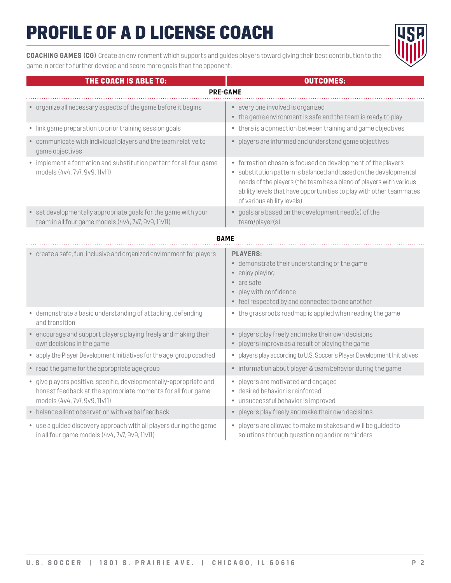**COACHING GAMES (CG)** Create an environment which supports and guides players toward giving their best contribution to the game in order to further develop and score more goals than the opponent.

| THE COACH IS ABLE TO:                                                                                                                                               | <b>OUTCOMES:</b>                                                                                                                                                                                                                                                                                            |
|---------------------------------------------------------------------------------------------------------------------------------------------------------------------|-------------------------------------------------------------------------------------------------------------------------------------------------------------------------------------------------------------------------------------------------------------------------------------------------------------|
|                                                                                                                                                                     | <b>PRE-GAME</b>                                                                                                                                                                                                                                                                                             |
| • organize all necessary aspects of the game before it begins                                                                                                       | • every one involved is organized<br>• the game environment is safe and the team is ready to play                                                                                                                                                                                                           |
| • link game preparation to prior training session goals                                                                                                             | • there is a connection between training and game objectives                                                                                                                                                                                                                                                |
| • communicate with individual players and the team relative to<br>game objectives                                                                                   | • players are informed and understand game objectives                                                                                                                                                                                                                                                       |
| • implement a formation and substitution pattern for all four game<br>models (4v4, 7v7, 9v9, 11v11)                                                                 | • formation chosen is focused on development of the players<br>· substitution pattern is balanced and based on the developmental<br>needs of the players (the team has a blend of players with various<br>ability levels that have opportunities to play with other teammates<br>of various ability levels) |
| • set developmentally appropriate goals for the game with your<br>team in all four game models (4v4, 7v7, 9v9, 11v11)                                               | • goals are based on the development need(s) of the<br>team/player(s)                                                                                                                                                                                                                                       |
|                                                                                                                                                                     | <b>GAME</b>                                                                                                                                                                                                                                                                                                 |
| • create a safe, fun, inclusive and organized environment for players                                                                                               | <b>PLAYERS:</b><br>• demonstrate their understanding of the game<br>• enjoy playing<br>• are safe<br>• play with confidence<br>• feel respected by and connected to one another                                                                                                                             |
| • demonstrate a basic understanding of attacking, defending<br>and transition                                                                                       | • the grassroots roadmap is applied when reading the game                                                                                                                                                                                                                                                   |
| • encourage and support players playing freely and making their<br>own decisions in the game                                                                        | • players play freely and make their own decisions<br>• players improve as a result of playing the game                                                                                                                                                                                                     |
| • apply the Player Development Initiatives for the age-group coached                                                                                                | • players play according to U.S. Soccer's Player Development Initiatives                                                                                                                                                                                                                                    |
| • read the game for the appropriate age group                                                                                                                       | • information about player & team behavior during the game                                                                                                                                                                                                                                                  |
| • give players positive, specific, developmentally-appropriate and<br>honest feedback at the appropriate moments for all four game<br>models (4v4, 7v7, 9v9, 11v11) | • players are motivated and engaged<br>· desired behavior is reinforced<br>• unsuccessful behavior is improved                                                                                                                                                                                              |
| • balance silent observation with verbal feedback                                                                                                                   | • players play freely and make their own decisions                                                                                                                                                                                                                                                          |
| • use a guided discovery approach with all players during the game<br>in all four game models (4v4, 7v7, 9v9, 11v11)                                                | • players are allowed to make mistakes and will be guided to<br>solutions through questioning and/or reminders                                                                                                                                                                                              |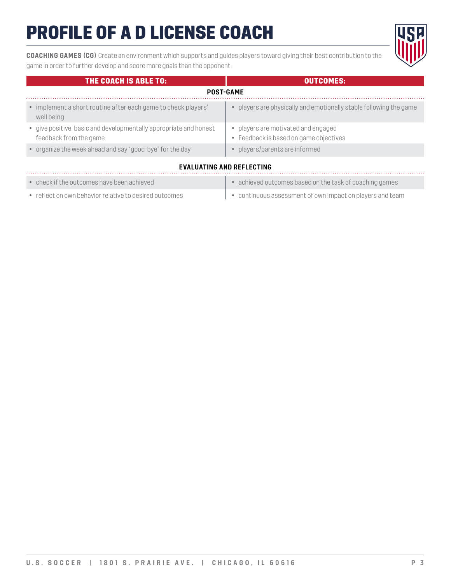**COACHING GAMES (CG)** Create an environment which supports and guides players toward giving their best contribution to the game in order to further develop and score more goals than the opponent.



|                                  | THE COACH IS ABLE TO:                                                                       | <b>OUTCOMES:</b>                                                            |  |
|----------------------------------|---------------------------------------------------------------------------------------------|-----------------------------------------------------------------------------|--|
|                                  | <b>POST-GAME</b>                                                                            |                                                                             |  |
|                                  | • implement a short routine after each game to check players'<br>well being                 | players are physically and emotionally stable following the game            |  |
|                                  | • give positive, basic and developmentally appropriate and honest<br>feedback from the game | players are motivated and engaged<br>• Feedback is based on game objectives |  |
|                                  | • organize the week ahead and say "good-bye" for the day                                    | players/parents are informed                                                |  |
| <b>EVALUATING AND REFLECTING</b> |                                                                                             |                                                                             |  |

| $\bullet$ check if the outcomes have been achieved     | • achieved outcomes based on the task of coaching games                 |
|--------------------------------------------------------|-------------------------------------------------------------------------|
| • reflect on own behavior relative to desired outcomes | $\cdot$ $\cdot$ continuous assessment of own impact on players and team |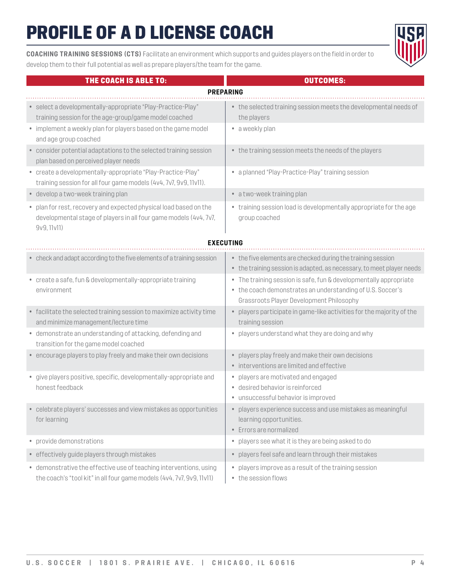**COACHING TRAINING SESSIONS (CTS)** Facilitate an environment which supports and guides players on the field in order to develop them to their full potential as well as prepare players/the team for the game.

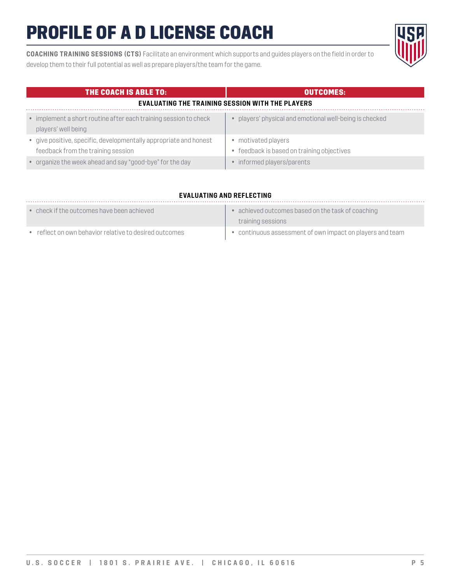**COACHING TRAINING SESSIONS (CTS)** Facilitate an environment which supports and guides players on the field in order to develop them to their full potential as well as prepare players/the team for the game.

| <b>THE COACH IS ABLE TO:</b>                                                                            | <b>OUTCOMES:</b>                                                |
|---------------------------------------------------------------------------------------------------------|-----------------------------------------------------------------|
| <b>EVALUATING THE TRAINING SESSION WITH THE PLAYERS</b>                                                 |                                                                 |
| • implement a short routine after each training session to check<br>players' well being                 | players' physical and emotional well-being is checked           |
| • give positive, specific, developmentally appropriate and honest<br>feedback from the training session | • motivated players<br>feedback is based on training objectives |
| • organize the week ahead and say "good-bye" for the day                                                | • informed players/parents                                      |

#### **EVALUATING AND REFLECTING**

| $\bullet$ check if the outcomes have been achieved     | • achieved outcomes based on the task of coaching         |
|--------------------------------------------------------|-----------------------------------------------------------|
|                                                        | training sessions                                         |
| • reflect on own behavior relative to desired outcomes | • continuous assessment of own impact on players and team |

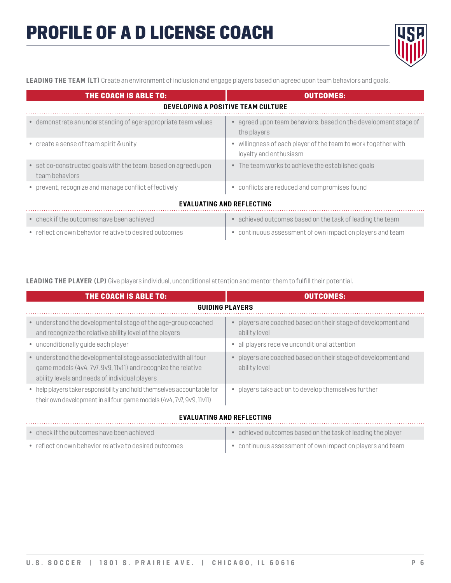

**LEADING THE TEAM (LT)** Create an environment of inclusion and engage players based on agreed upon team behaviors and goals.

| THE COACH IS ABLE TO:                                                            | <b>OUTCOMES:</b>                                                                         |  |
|----------------------------------------------------------------------------------|------------------------------------------------------------------------------------------|--|
| <b>DEVELOPING A POSITIVE TEAM CULTURE</b>                                        |                                                                                          |  |
| • demonstrate an understanding of age-appropriate team values                    | • agreed upon team behaviors, based on the development stage of<br>the players           |  |
| • create a sense of team spirit & unity                                          | • willingness of each player of the team to work together with<br>loyalty and enthusiasm |  |
| • set co-constructed goals with the team, based on agreed upon<br>team behaviors | • The team works to achieve the established goals                                        |  |
| • prevent, recognize and manage conflict effectively                             | • conflicts are reduced and compromises found                                            |  |
| <b>EVALUATING AND REFLECTING</b>                                                 |                                                                                          |  |
| • check if the outcomes have been achieved                                       | • achieved outcomes based on the task of leading the team                                |  |
| • reflect on own behavior relative to desired outcomes                           | • continuous assessment of own impact on players and team                                |  |

**LEADING THE PLAYER (LP)** Give players individual, unconditional attention and mentor them to fulfill their potential.

| THE COACH IS ABLE TO:                                                                                                                                                            | <b>OUTCOMES:</b>                                                               |  |  |
|----------------------------------------------------------------------------------------------------------------------------------------------------------------------------------|--------------------------------------------------------------------------------|--|--|
|                                                                                                                                                                                  | <b>GUIDING PLAYERS</b>                                                         |  |  |
| • understand the developmental stage of the age-group coached<br>and recognize the relative ability level of the players                                                         | • players are coached based on their stage of development and<br>ability level |  |  |
| • unconditionally quide each player                                                                                                                                              | • all players receive unconditional attention                                  |  |  |
| • understand the developmental stage associated with all four<br>game models (4v4, 7v7, 9v9, 11v11) and recognize the relative<br>ability levels and needs of individual players | • players are coached based on their stage of development and<br>ability level |  |  |
| • help players take responsibility and hold themselves accountable for<br>their own development in all four game models (4v4, 7v7, 9v9, 11v11)                                   | • players take action to develop themselves further                            |  |  |

#### **EVALUATING AND REFLECTING**

| $\bullet$ check if the outcomes have been achieved     | achieved outcomes based on the task of leading the player |
|--------------------------------------------------------|-----------------------------------------------------------|
| • reflect on own behavior relative to desired outcomes | • continuous assessment of own impact on players and team |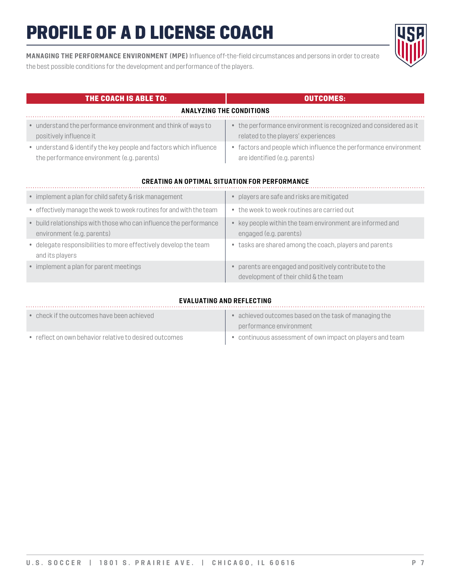**MANAGING THE PERFORMANCE ENVIRONMENT (MPE)** Influence off-the-field circumstances and persons in order to create the best possible conditions for the development and performance of the players.

| THE COACH IS ABLE TO:                                                                                            | <b>OUTCOMES:</b>                                                                                        |  |
|------------------------------------------------------------------------------------------------------------------|---------------------------------------------------------------------------------------------------------|--|
| <b>ANALYZING THE CONDITIONS</b>                                                                                  |                                                                                                         |  |
| • understand the performance environment and think of ways to<br>positively influence it                         | • the performance environment is recognized and considered as it<br>related to the players' experiences |  |
| • understand & identify the key people and factors which influence<br>the performance environment (e.g. parents) | • factors and people which influence the performance environment<br>are identified (e.g. parents)       |  |
|                                                                                                                  | <b>CREATING AN OPTIMAL SITUATION FOR PERFORMANCE</b>                                                    |  |
| • implement a plan for child safety & risk management                                                            | • players are safe and risks are mitigated                                                              |  |
| • effectively manage the week to week routines for and with the team                                             | • the week to week routines are carried out                                                             |  |
| • build relationships with those who can influence the performance<br>environment (e.g. parents)                 | • key people within the team environment are informed and<br>engaged (e.g. parents)                     |  |
| • delegate responsibilities to more effectively develop the team<br>and its players                              | • tasks are shared among the coach, players and parents                                                 |  |
| • implement a plan for parent meetings                                                                           | parents are engaged and positively contribute to the                                                    |  |

#### **EVALUATING AND REFLECTING**

development of their child & the team

| $\bullet$ check if the outcomes have been achieved     | achieved outcomes based on the task of managing the       |
|--------------------------------------------------------|-----------------------------------------------------------|
|                                                        | performance environment                                   |
| • reflect on own behavior relative to desired outcomes | • continuous assessment of own impact on players and team |